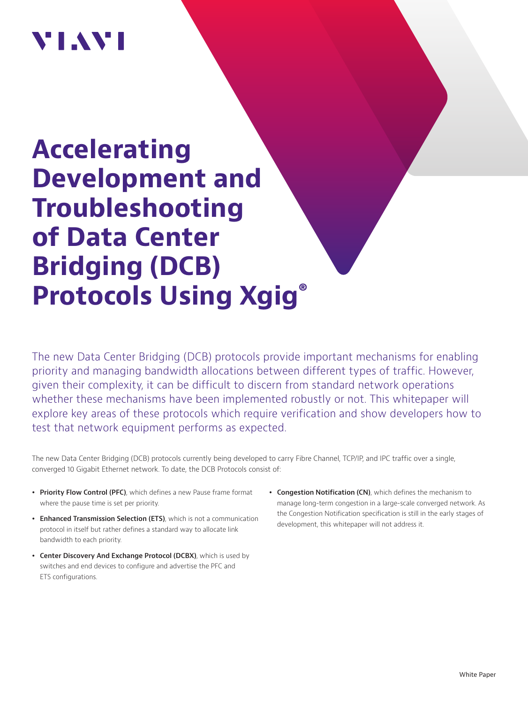# VI.WI

# **Accelerating Development and Troubleshooting of Data Center Bridging (DCB) Protocols Using Xgig®**

The new Data Center Bridging (DCB) protocols provide important mechanisms for enabling priority and managing bandwidth allocations between different types of traffic. However, given their complexity, it can be difficult to discern from standard network operations whether these mechanisms have been implemented robustly or not. This whitepaper will explore key areas of these protocols which require verification and show developers how to test that network equipment performs as expected.

The new Data Center Bridging (DCB) protocols currently being developed to carry Fibre Channel, TCP/IP, and IPC traffic over a single, converged 10 Gigabit Ethernet network. To date, the DCB Protocols consist of:

- **Priority Flow Control (PFC)**, which defines a new Pause frame format where the pause time is set per priority.
- **Enhanced Transmission Selection (ETS)**, which is not a communication protocol in itself but rather defines a standard way to allocate link bandwidth to each priority.
- **Center Discovery And Exchange Protocol (DCBX)**, which is used by switches and end devices to configure and advertise the PFC and ETS configurations.
- **Congestion Notification (CN)**, which defines the mechanism to manage long-term congestion in a large-scale converged network. As the Congestion Notification specification is still in the early stages of development, this whitepaper will not address it.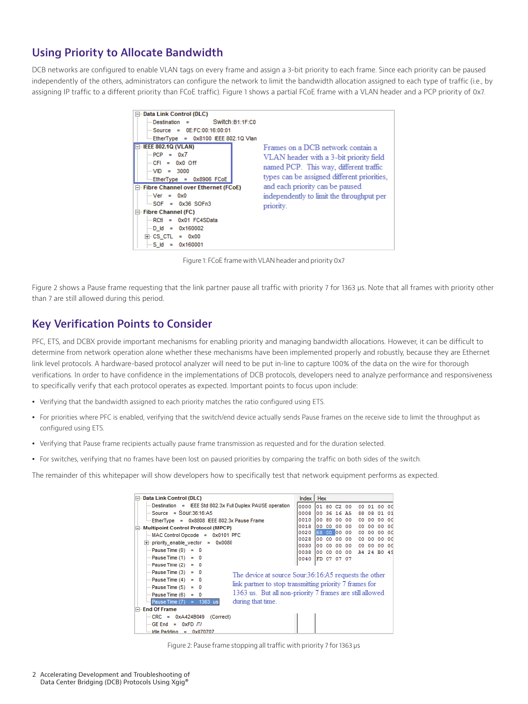# **Using Priority to Allocate Bandwidth**

DCB networks are configured to enable VLAN tags on every frame and assign a 3-bit priority to each frame. Since each priority can be paused independently of the others, administrators can configure the network to limit the bandwidth allocation assigned to each type of traffic (i.e., by assigning IP traffic to a different priority than FCoE traffic). Figure 1 shows a partial FCoE frame with a VLAN header and a PCP priority of 0x7.



Figure 1: FCoE frame with VLAN header and priority 0x7

Figure 2 shows a Pause frame requesting that the link partner pause all traffic with priority 7 for 1363 μs. Note that all frames with priority other than 7 are still allowed during this period.

## **Key Verification Points to Consider**

PFC, ETS, and DCBX provide important mechanisms for enabling priority and managing bandwidth allocations. However, it can be difficult to determine from network operation alone whether these mechanisms have been implemented properly and robustly, because they are Ethernet link level protocols. A hardware-based protocol analyzer will need to be put in-line to capture 100% of the data on the wire for thorough verifications. In order to have confidence in the implementations of DCB protocols, developers need to analyze performance and responsiveness to specifically verify that each protocol operates as expected. Important points to focus upon include:

- Verifying that the bandwidth assigned to each priority matches the ratio configured using ETS.
- For priorities where PFC is enabled, verifying that the switch/end device actually sends Pause frames on the receive side to limit the throughput as configured using ETS.
- Verifying that Pause frame recipients actually pause frame transmission as requested and for the duration selected.
- For switches, verifying that no frames have been lost on paused priorities by comparing the traffic on both sides of the switch.

The remainder of this whitepaper will show developers how to specifically test that network equipment performs as expected.

| <b>□ Data Link Control (DLC)</b>                                                                                                                                                                                                                                                                                                                                                | Index   Hex                                                                  |                                   |                                |                                                     |                                                           |                                  |                         |                |                                               |
|---------------------------------------------------------------------------------------------------------------------------------------------------------------------------------------------------------------------------------------------------------------------------------------------------------------------------------------------------------------------------------|------------------------------------------------------------------------------|-----------------------------------|--------------------------------|-----------------------------------------------------|-----------------------------------------------------------|----------------------------------|-------------------------|----------------|-----------------------------------------------|
| Destination = IEEE Std 802.3x Full Duplex PAUSE operation<br>$Source = Sour:36:16:AB$<br>EtherType = 0x8808 IEEE 802.3x Pause Frame<br><b>Multipoint Control Protocol (MPCP)</b><br>E-<br>MAC Control Opcode = 0x0101 PFC<br>$\overline{+}$ priority enable vector = 0x0080<br>$= 0$ Pause Time (0) = 0<br>$Pause Time (1) = 0$                                                 | 0000<br><b>0008</b><br>0010<br>001.B<br>0020<br>002B<br>0030<br>0038<br>0040 | nn<br>00<br>68.<br>00<br>nn<br>nn | 80<br>nn.<br>00<br>-nn<br>0000 | -nn<br>nn.<br>loo.<br>nn<br>00 00 00<br>FD 07 07 07 | 01 80 C2 00<br>00 36 16 A5<br>nn<br>-nn<br>00<br>00<br>ററ | 00<br>88<br>nn<br>nn<br>00<br>nn | 01 00<br>08<br>A4 24 RO | nn<br>nn<br>nn | 00<br>01<br>nn<br>nn<br>nn<br>nn<br>nn<br>-49 |
| $=$ Pause Time (2) = 0<br>$=$ Pause Time (3) = 0<br>The device at source Sour:36:16:A5 requests the other<br>$Pause Time (4) = 0$<br>link partner to stop transmitting priority 7 frames for<br>$=$ Pause Time (5) = 0<br>1363 us. But all non-priority 7 frames are still allowed<br>$=$ Pause Time (6) = 0<br>during that time.<br><b>Employment Pause Time (7)</b> = 1363 us |                                                                              |                                   |                                |                                                     |                                                           |                                  |                         |                |                                               |
| <b>End Of Frame</b><br>$CRC = 0 \times A424B049$ (Correct)<br>$GE$ End = $0xFD$ /T/<br>i <b>Idle Padding</b> =<br>0x070707                                                                                                                                                                                                                                                      |                                                                              |                                   |                                |                                                     |                                                           |                                  |                         |                |                                               |

Figure 2: Pause frame stopping all traffic with priority 7 for 1363 μs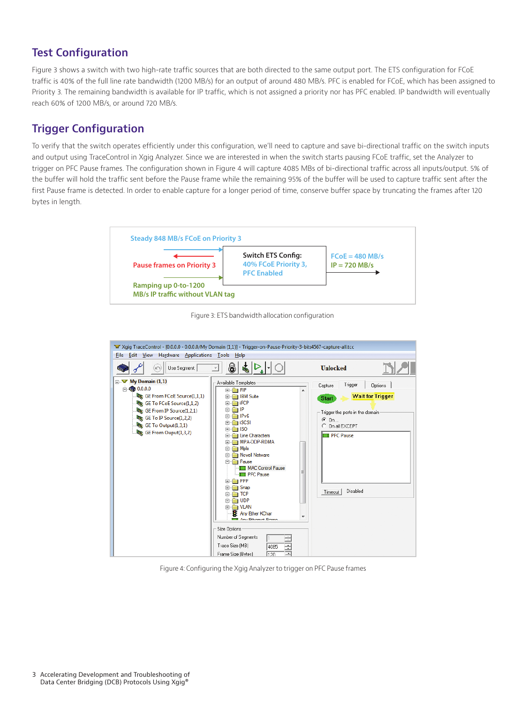# **Test Configuration**

Figure 3 shows a switch with two high-rate traffic sources that are both directed to the same output port. The ETS configuration for FCoE traffic is 40% of the full line rate bandwidth (1200 MB/s) for an output of around 480 MB/s. PFC is enabled for FCoE, which has been assigned to Priority 3. The remaining bandwidth is available for IP traffic, which is not assigned a priority nor has PFC enabled. IP bandwidth will eventually reach 60% of 1200 MB/s, or around 720 MB/s.

# **Trigger Configuration**

To verify that the switch operates efficiently under this configuration, we'll need to capture and save bi-directional traffic on the switch inputs and output using TraceControl in Xgig Analyzer. Since we are interested in when the switch starts pausing FCoE traffic, set the Analyzer to trigger on PFC Pause frames. The configuration shown in Figure 4 will capture 4085 MBs of bi-directional traffic across all inputs/output. 5% of the buffer will hold the traffic sent before the Pause frame while the remaining 95% of the buffer will be used to capture traffic sent after the first Pause frame is detected. In order to enable capture for a longer period of time, conserve buffer space by truncating the frames after 120 bytes in length.



Figure 3: ETS bandwidth allocation configuration



Figure 4: Configuring the Xgig Analyzer to trigger on PFC Pause frames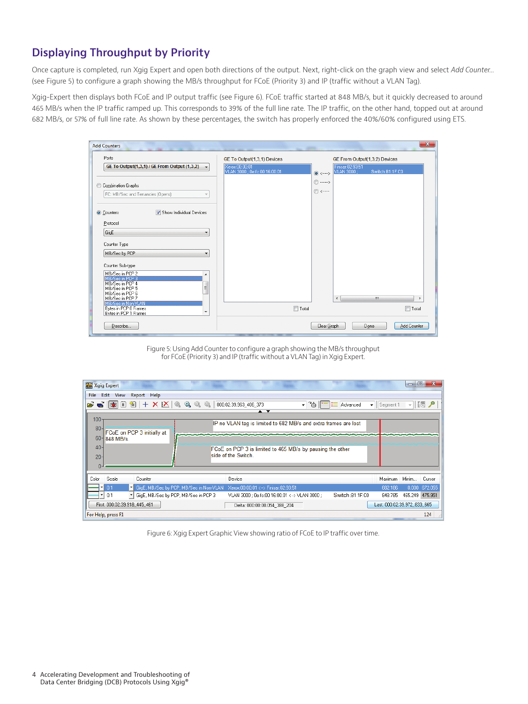# **Displaying Throughput by Priority**

Once capture is completed, run Xgig Expert and open both directions of the output. Next, right-click on the graph view and select *Add Counter...*  (see Figure 5) to configure a graph showing the MB/s throughput for FCoE (Priority 3) and IP (traffic without a VLAN Tag).

Xgig-Expert then displays both FCoE and IP output traffic (see Figure 6). FCoE traffic started at 848 MB/s, but it quickly decreased to around 465 MB/s when the IP traffic ramped up. This corresponds to 39% of the full line rate. The IP traffic, on the other hand, topped out at around 682 MB/s, or 57% of full line rate. As shown by these percentages, the switch has properly enforced the 40%/60% configured using ETS.

| <b>Add Counters</b>                                                                                                                                                | m.                                              | $\mathbf{x}$<br><b>The Contract</b>                 |
|--------------------------------------------------------------------------------------------------------------------------------------------------------------------|-------------------------------------------------|-----------------------------------------------------|
| Ports                                                                                                                                                              | GE To Output(1,3,1) Devices                     | GE From Output(1,3,2) Devices                       |
| GE To Output(1,3,1) / GE From Output (1,3,2)<br>$\cdot$                                                                                                            | Xerox:00:00:01<br>VLAN 3000 : 0e:fc:00:16:00:01 | Finisar: 02:93:51<br>VLAN 3000 :<br>Switch:B1:1F:C0 |
| Combination Graphs<br>FC: MB/Sec and Tenancies (Opens)<br>v                                                                                                        |                                                 | $\odot$<br>$\odot$ <-----                           |
| Show Individual Devices<br>Counters<br>Protocol<br>GigE                                                                                                            |                                                 |                                                     |
| Counter Type<br>MB/Sec by PCP                                                                                                                                      |                                                 |                                                     |
| Counter Sub-type<br>MB/Sec in PCP 2<br>۰<br>MB/Sec in PCP 3<br>MB/Sec in PCP 4<br>Ξ<br>MB/Sec in PCP 5<br>MB/Sec in PCP 6<br>MB/Sec in PCP 7<br>MB/Sec in Non-VLAN |                                                 | m.<br>∢                                             |
| Bytes in PCP 0 Frames<br>$\overline{\phantom{a}}$<br>Bytes in PCP 1 Frames                                                                                         | $\Box$ Total                                    | $\Box$ Total                                        |
| Describe                                                                                                                                                           |                                                 | Add Counter<br>Clear Graph<br>Done                  |

Figure 5: Using Add Counter to configure a graph showing the MB/s throughput for FCoE (Priority 3) and IP (traffic without a VLAN Tag) in Xgig Expert.

| $\Box$<br>$\overline{\mathbf{x}}$<br>Xgig Expert                                                                                                                                                                                                                                                                                                                                                          |  |
|-----------------------------------------------------------------------------------------------------------------------------------------------------------------------------------------------------------------------------------------------------------------------------------------------------------------------------------------------------------------------------------------------------------|--|
| Edit<br><b>View</b><br>Report Help<br>File                                                                                                                                                                                                                                                                                                                                                                |  |
| $\left \mathcal{L}\right $ $\left \mathcal{F}\right $ $\left \mathcal{F}\right $ $\left \mathcal{F}\right $ $\left \mathcal{F}\right $ $\left \mathcal{F}\right $ $\left \mathcal{F}\right $ $\left \mathcal{F}\right $ $\left \mathcal{F}\right $ $\left \mathcal{F}\right $<br>▼ 25 - i = Advanced<br>- 15 2<br>$\bullet$   Segment 1<br>000:02:39.963_406_373<br>$\blacktriangle$ $\blacktriangledown$ |  |
| 100                                                                                                                                                                                                                                                                                                                                                                                                       |  |
| IP no VLAN tag is limited to 682 MB/s and extra frames are lost                                                                                                                                                                                                                                                                                                                                           |  |
| 80<br>FCoE on PCP 3 initially at                                                                                                                                                                                                                                                                                                                                                                          |  |
| 60<br>848 MB/s.                                                                                                                                                                                                                                                                                                                                                                                           |  |
| 40 <sup>°</sup><br>FCoE on PCP 3 is limited to 465 MB/s by pausing the other                                                                                                                                                                                                                                                                                                                              |  |
| side of the Switch.<br>$20 -$                                                                                                                                                                                                                                                                                                                                                                             |  |
|                                                                                                                                                                                                                                                                                                                                                                                                           |  |
|                                                                                                                                                                                                                                                                                                                                                                                                           |  |
| Scale<br>Device<br>Maximum<br>Minim<br>Color<br>Counter<br>Cursor                                                                                                                                                                                                                                                                                                                                         |  |
| 0.1<br>GigE, MB/Sec by PCP, MB/Sec in Non-VLAN<br>$0.000 -$<br>672.055<br>Xerox:00:00:01 <--> Finisar:02:93:51<br>682.186                                                                                                                                                                                                                                                                                 |  |
| 0.1<br>GigE, MB/Sec by PCP, MB/Sec in PCP 3<br>Switch:B1:1F:C0<br>465.249 475.951<br>848.785<br>VLAN 3000 ; 0e:fc:00:16:00:01 <--> VLAN 3000 ;                                                                                                                                                                                                                                                            |  |
| Last: 000:02:39.972 833 665<br>First: 000:02:39.918 445 461<br>Delta: 000:00:00.054_388_204                                                                                                                                                                                                                                                                                                               |  |
| 124<br>For Help, press F1                                                                                                                                                                                                                                                                                                                                                                                 |  |

Figure 6: Xgig Expert Graphic View showing ratio of FCoE to IP traffic over time.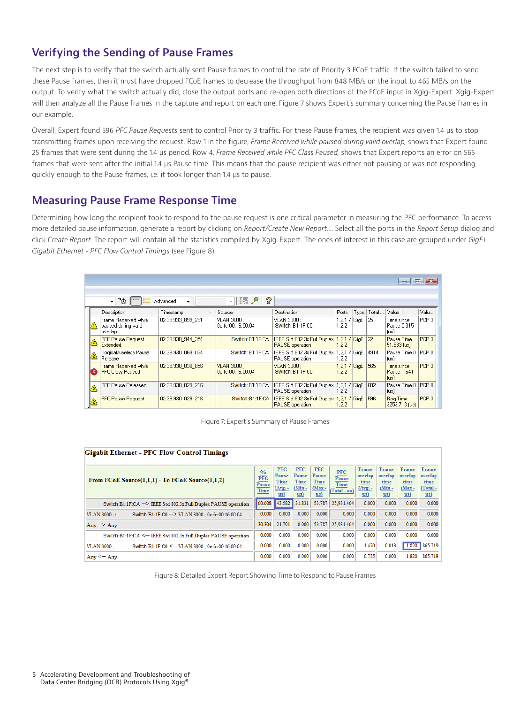# **Verifying the Sending of Pause Frames**

The next step is to verify that the switch actually sent Pause frames to control the rate of Priority 3 FCoE traffic. If the switch failed to send these Pause frames, then it must have dropped FCoE frames to decrease the throughput from 848 MB/s on the input to 465 MB/s on the output. To verify what the switch actually did, close the output ports and re-open both directions of the FCoE input in Xgig-Expert. Xgig-Expert will then analyze all the Pause frames in the capture and report on each one. Figure 7 shows Expert's summary concerning the Pause frames in our example.

Overall, Expert found 596 *PFC Pause Requests* sent to control Priority 3 traffic. For these Pause frames, the recipient was given 1.4 μs to stop transmitting frames upon receiving the request. Row 1 in the figure, *Frame Received while paused during valid overlap,* shows that Expert found 25 frames that were sent during the 1.4 μs period. Row 4, *Frame Received while PFC Class Paused,* shows that Expert reports an error on 565 frames that were sent after the initial 1.4 μs Pause time. This means that the pause recipient was either not pausing or was not responding quickly enough to the Pause frames, i.e. it took longer than 1.4 μs to pause.

### **Measuring Pause Frame Response Time**

Determining how long the recipient took to respond to the pause request is one critical parameter in measuring the PFC performance. To access more detailed pause information, generate a report by clicking on *Report/Create New Report*.... Select all the ports in the *Report Setup* dialog and click *Create Report.* The report will contain all the statistics compiled by Xgig-Expert. The ones of interest in this case are grouped under *GigE\ Gigabit Ethernet - PFC Flow Control Timings* (see Figure 8).

|                | $\Box$                                                 |                     |                                  |                                                                    |                         |  |              |                                   |                  |  |
|----------------|--------------------------------------------------------|---------------------|----------------------------------|--------------------------------------------------------------------|-------------------------|--|--------------|-----------------------------------|------------------|--|
|                | - "⊚<br>挂                                              | Advanced<br>$\cdot$ | ?<br>图2<br>≂ II                  |                                                                    |                         |  |              |                                   |                  |  |
|                | Description                                            | Timestamp           | Source                           | Destination                                                        | Ports                   |  | Type   Total | Value 1                           | Valu             |  |
| Λ              | Frame Received while<br>paused during valid<br>overlap | 02:39.933 899 291   | VLAN 3000 :<br>0e:fc:00:16:00:04 | VLAN 3000 :<br>Switch:B1:1F:C0                                     | $1.2.1$ / GiaE<br>1,2,2 |  | 25           | Time since<br>Pause 0.315<br>(us) | PCP <sub>3</sub> |  |
| <mark>a</mark> | <b>PFC Pause Request</b><br>Extended                   | 02:39.930 944 354   | Switch:B1:1F:CA                  | IEEE Std 802.3x Full Duplex  <br><b>PAUSE</b> operation            | $1.2.1$ / GiaE<br>1,2.2 |  | 22           | Pause Time<br>51.933 [us]         | PCP <sub>3</sub> |  |
| ⚠              | Illogical/useless Pause<br>Release                     | 02:39.930 069 024   | Switch:B1:1F:CA                  | IEEE Std 802.3x Full Duplex  <br>PAUSE operation                   | $1.2.1$ / GiaE<br>1,2,2 |  | 4914         | Pause Time 0<br>(us)              | l PCP 0.         |  |
| 3              | Frame Received while<br>PFC Class Paused               | 02:39.930 030 856   | VLAN 3000 :<br>0e:fc:00:16:00:04 | VLAN 3000 :<br>Switch:B1:1F:C0                                     | $1.2.1$ / GiaE<br>1,2,2 |  | 565          | Time since<br>Pause 1.641<br>[us] | PCP <sub>3</sub> |  |
| $\triangle$    | PFC Pause Released                                     | 02:39.930 029 216   | Switch:B1:1F:CA                  | IEEE Std 802.3x Full Duplex<br>PAUSE operation                     | $1.2.1$ / GiaE<br>1.2.2 |  | 602          | Pause Time 0   PCP 0<br>[us]      |                  |  |
| ☝              | <b>PFC Pause Request</b>                               | 02:39.930 029 216   | Switch:B1:1F:CA                  | IEEE Std 802.3x Full Duplex 1,2,1 / GigE<br><b>PAUSE</b> operation | 1,2,2                   |  | 596          | Reg Time<br>3253.713 fust         | PCP <sub>3</sub> |  |

Figure 7: Expert's Summary of Pause Frames

| <b>Gigabit Ethernet - PFC Flow Control Timings</b>                                                       |        |                                                               |                                                                                |                                                                  |                                             |                                                                 |                                                           |                                                               |                                                               |  |
|----------------------------------------------------------------------------------------------------------|--------|---------------------------------------------------------------|--------------------------------------------------------------------------------|------------------------------------------------------------------|---------------------------------------------|-----------------------------------------------------------------|-----------------------------------------------------------|---------------------------------------------------------------|---------------------------------------------------------------|--|
| $\frac{\%}{\text{PFC}}$<br>From FCoE Source $(1,1,1)$ - To FCoE Source $(1,1,2)$<br>Pause<br><b>Time</b> |        | <b>PFC</b><br>Pause<br>Time<br>$(Avg. -$<br>$\overline{u}$ s) | <b>PFC</b><br>Pause<br><b>Time</b><br>$({\rm Min} -$<br>$\mathbf{u}\mathbf{s}$ | <b>PFC</b><br>Pause<br>Time<br>$Max -$<br>$\mathbf{u}\mathbf{s}$ | <b>PFC</b><br>Pause<br>Time<br>(Total - us) | Frame<br>overlap<br>time<br>$(Arg. -$<br>$\mathbf{u}\mathbf{s}$ | Frame<br>overlap<br>time<br>$(Min -$<br>$\overline{u}$ s) | Frame<br>overlap<br>time<br>$Max -$<br>$\mathbf{u}\mathbf{s}$ | Frame<br>overlap<br>time<br>(Total-<br>$\mathbf{u}\mathbf{s}$ |  |
| Switch:B1:1F:CA -> IEEE Std 802.3x Full Duplex PAUSE operation                                           | 60.608 | 43.582                                                        | 31.831                                                                         | 53.787                                                           | 25.931.464                                  | 0.000                                                           | 0.000                                                     | 0.000                                                         | 0.000                                                         |  |
| VLAN 3000:<br>Switch:B1:1F:C0 -> VLAN 3000 : 0e:fc:00:16:00:04                                           | 0.000  | 0.000                                                         | 0.000                                                                          | 0.000                                                            | 0.000                                       | 0.000                                                           | 0.000                                                     | 0.000                                                         | 0.000                                                         |  |
| $Any \rightarrow Any$                                                                                    | 30.304 | 21.791                                                        | 0.000                                                                          | 53,787                                                           | 25.931.464                                  | 0.000                                                           | 0.000                                                     | 0.000                                                         | 0.000                                                         |  |
| Switch:B1:1F:CA <= IEEE Std 802.3x Full Duplex PAUSE operation                                           | 0.000  | 0.000                                                         | 0.000                                                                          | 0.000                                                            | 0.000                                       | 0.000                                                           | 0.000                                                     | 0.000                                                         | 0.000                                                         |  |
| VLAN 3000:<br>Switch:B1:1F:C0 < - VLAN 3000 : 0e:fc:00:16:00:04                                          | 0.000  | 0.000                                                         | 0.000                                                                          | 0.000                                                            | 0.000                                       | 1.470                                                           | 0.013                                                     | 1.820                                                         | 865,719                                                       |  |
| Any $\leq -$ Any                                                                                         | 0.000  | 0.000                                                         | 0.000                                                                          | 0.000                                                            | 0.000                                       | 0.735                                                           | 0.000                                                     | 1.820                                                         | 865,719                                                       |  |

Figure 8: Detailed Expert Report Showing Time to Respond to Pause Frames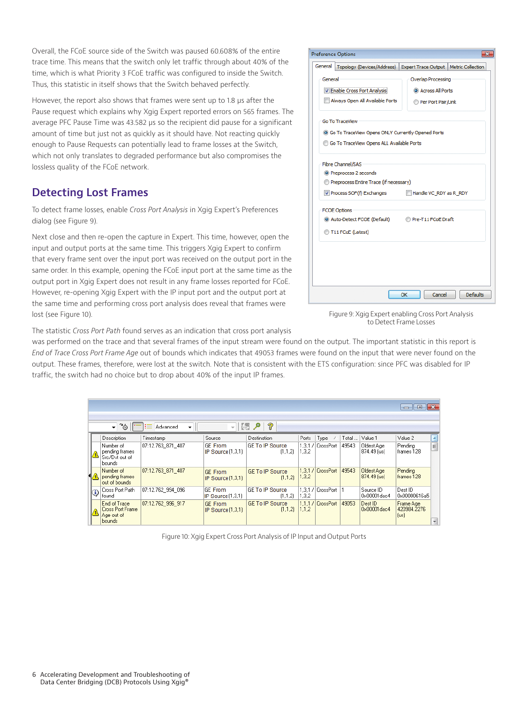Overall, the FCoE source side of the Switch was paused 60.608% of the entire trace time. This means that the switch only let traffic through about 40% of the time, which is what Priority 3 FCoE traffic was configured to inside the Switch. Thus, this statistic in itself shows that the Switch behaved perfectly.

However, the report also shows that frames were sent up to 1.8 μs after the Pause request which explains why Xgig Expert reported errors on 565 frames. The average PFC Pause Time was 43.582 μs so the recipient did pause for a significant amount of time but just not as quickly as it should have. Not reacting quickly enough to Pause Requests can potentially lead to frame losses at the Switch, which not only translates to degraded performance but also compromises the lossless quality of the FCoE network.

# **Detecting Lost Frames**

To detect frame losses, enable *Cross Port Analysis* in Xgig Expert's Preferences dialog (see Figure 9).

Next close and then re-open the capture in Expert. This time, however, open the input and output ports at the same time. This triggers Xgig Expert to confirm that every frame sent over the input port was received on the output port in the same order. In this example, opening the FCoE input port at the same time as the output port in Xgig Expert does not result in any frame losses reported for FCoE. However, re-opening Xgig Expert with the IP input port and the output port at the same time and performing cross port analysis does reveal that frames were lost (see Figure 10).

|         | <b>Preference Options</b>                           |                                                                      |
|---------|-----------------------------------------------------|----------------------------------------------------------------------|
| General |                                                     | Topology (Devices/Address)   Expert Trace Output   Metric Collection |
| General |                                                     | Overlap Processing                                                   |
|         | T Enable Cross Port Analysis                        | C Across All Ports                                                   |
|         | Always Open All Available Ports                     | Per Port Pair/Link                                                   |
|         | <b>Go To TraceView</b>                              |                                                                      |
|         | 6 Go To TraceView Opens ONLY Currently Opened Ports |                                                                      |
|         | <b>6 Go To TraceView Opens ALL Available Ports</b>  |                                                                      |
|         | Fibre Channel/SAS                                   |                                                                      |
|         | <sup>O</sup> Preprocess 2 seconds                   |                                                                      |
|         | Preprocess Entire Trace (if necessary)              |                                                                      |
|         | Process SOF(f) Exchanges                            | Handle VC RDY as R RDY                                               |
|         | <b>FCOE Options</b>                                 |                                                                      |
|         | Auto-Detect FCOE (Default) Pre-T11 FCoE Draft       |                                                                      |
|         | T11 FCoE (Latest)                                   |                                                                      |
|         |                                                     |                                                                      |
|         |                                                     |                                                                      |
|         |                                                     |                                                                      |
|         |                                                     |                                                                      |
|         |                                                     | <b>Defaults</b><br>OK<br>Cancel                                      |
|         |                                                     |                                                                      |

The statistic *Cross Port Path* found serves as an indication that cross port analysis

was performed on the trace and that several frames of the input stream were found on the output. The important statistic in this report is *End of Trace Cross Port Frame Age* out of bounds which indicates that 49053 frames were found on the input that were never found on the output. These frames, therefore, were lost at the switch. Note that is consistent with the ETS configuration: since PFC was disabled for IP traffic, the switch had no choice but to drop about 40% of the input IP frames.

|                |                                                                                        |                   |                                       |                                   |                  |                   |       |                             | $\begin{array}{c c c c c c} \hline \multicolumn{3}{c }{\mathbf{C}} & \multicolumn{3}{c }{\mathbf{C}} & \multicolumn{3}{c }{\mathbf{X}} \\\hline \multicolumn{3}{c }{\mathbf{C}} & \multicolumn{3}{c }{\mathbf{D}} & \multicolumn{3}{c }{\mathbf{X}} \\\hline \multicolumn{3}{c }{\mathbf{D}} & \multicolumn{3}{c }{\mathbf{D}} & \multicolumn{3}{c }{\mathbf{X}} \\\hline \multicolumn{3}{c }{\mathbf{D}} & \multicolumn{3}{c }{\mathbf{D}} & \multicolumn$ |                 |  |
|----------------|----------------------------------------------------------------------------------------|-------------------|---------------------------------------|-----------------------------------|------------------|-------------------|-------|-----------------------------|-------------------------------------------------------------------------------------------------------------------------------------------------------------------------------------------------------------------------------------------------------------------------------------------------------------------------------------------------------------------------------------------------------------------------------------------------------------|-----------------|--|
|                | ?<br>∐k5 ⁄P<br>ී <b>ම</b><br>挂<br>Advanced<br>$\cdot$<br>۳I<br>$\overline{\mathbf{v}}$ |                   |                                       |                                   |                  |                   |       |                             |                                                                                                                                                                                                                                                                                                                                                                                                                                                             |                 |  |
|                | Description                                                                            | Timestamp         | Source                                | Destination                       | Ports            | Type              | Total | Value 1                     | Value 2                                                                                                                                                                                                                                                                                                                                                                                                                                                     |                 |  |
|                | Number of<br>pending frames<br>Src/Dst out of<br><b>bounds</b>                         | 07:12.763 871 407 | GE From<br>IP Source (1,3,1)          | <b>GE To IP Source</b><br>(1,1,2) | 1,3,1/ <br>1,3,2 | CrossPort         | 49543 | Oldest Age<br>874.49 (us)   | Pending<br>frames 128                                                                                                                                                                                                                                                                                                                                                                                                                                       | $\frac{1}{\pi}$ |  |
|                | Number of<br>pending frames<br>out of bounds                                           | 07:12.763 871 407 | <b>GE From</b><br>IP Source $(1,3,1)$ | <b>GE To IP Source</b><br>(1,1,2) | 1,3.2            | 1.3.1 / CrossPort | 49543 | Oldest Age<br>$874.49$ [us] | Pending<br>frames 128                                                                                                                                                                                                                                                                                                                                                                                                                                       |                 |  |
| $\circledcirc$ | Cross Port Path<br>l found i                                                           | 07:12.762 994 096 | <b>GE From</b><br>IP Source [1,3,1]   | <b>GE To IP Source</b><br>(1.1.2) | 1.3.1<br>1,3,2   | CrossPort         |       | Source ID<br>0x00001dac4    | Dest ID<br>0x00000616a5                                                                                                                                                                                                                                                                                                                                                                                                                                     |                 |  |
|                | End of Trace<br><b>Cross Port Frame</b><br>Age out of<br>bounds                        | 07:12.762_996_917 | <b>GE</b> From<br>IP Source $(1,3,1)$ | <b>GE To IP Source</b><br>[1,1,2] | 1.1.2            | 1.1.1 / CrossPort | 49053 | Dest ID<br>0x00001dac4      | Frame Age<br>420984.2276<br>[us]                                                                                                                                                                                                                                                                                                                                                                                                                            |                 |  |

Figure 10: Xgig Expert Cross Port Analysis of IP Input and Output Ports

Figure 9: Xgig Expert enabling Cross Port Analysis to Detect Frame Losses